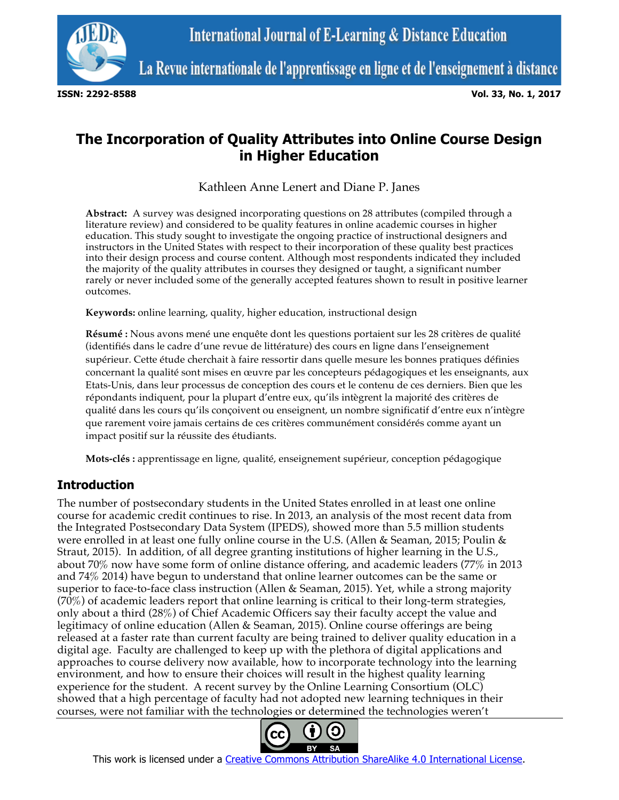

La Revue internationale de l'apprentissage en ligne et de l'enseignement à distance

**ISSN: 2292-8588 Vol. 33, No. 1, 2017**

# **The Incorporation of Quality Attributes into Online Course Design in Higher Education**

Kathleen Anne Lenert and Diane P. Janes

**Abstract:** A survey was designed incorporating questions on 28 attributes (compiled through a literature review) and considered to be quality features in online academic courses in higher education. This study sought to investigate the ongoing practice of instructional designers and instructors in the United States with respect to their incorporation of these quality best practices into their design process and course content. Although most respondents indicated they included the majority of the quality attributes in courses they designed or taught, a significant number rarely or never included some of the generally accepted features shown to result in positive learner outcomes.

**Keywords:** online learning, quality, higher education, instructional design

**Résumé :** Nous avons mené une enquête dont les questions portaient sur les 28 critères de qualité (identifiés dans le cadre d'une revue de littérature) des cours en ligne dans l'enseignement supérieur. Cette étude cherchait à faire ressortir dans quelle mesure les bonnes pratiques définies concernant la qualité sont mises en œuvre par les concepteurs pédagogiques et les enseignants, aux Etats-Unis, dans leur processus de conception des cours et le contenu de ces derniers. Bien que les répondants indiquent, pour la plupart d'entre eux, qu'ils intègrent la majorité des critères de qualité dans les cours qu'ils conçoivent ou enseignent, un nombre significatif d'entre eux n'intègre que rarement voire jamais certains de ces critères communément considérés comme ayant un impact positif sur la réussite des étudiants.

**Mots-clés :** apprentissage en ligne, qualité, enseignement supérieur, conception pédagogique

# **Introduction**

The number of postsecondary students in the United States enrolled in at least one online course for academic credit continues to rise. In 2013, an analysis of the most recent data from the Integrated Postsecondary Data System (IPEDS), showed more than 5.5 million students were enrolled in at least one fully online course in the U.S. (Allen & Seaman, 2015; Poulin & Straut, 2015). In addition, of all degree granting institutions of higher learning in the U.S., about 70% now have some form of online distance offering, and academic leaders (77% in 2013 and 74% 2014) have begun to understand that online learner outcomes can be the same or superior to face-to-face class instruction (Allen & Seaman, 2015). Yet, while a strong majority (70%) of academic leaders report that online learning is critical to their long-term strategies, only about a third (28%) of Chief Academic Officers say their faculty accept the value and legitimacy of online education (Allen & Seaman, 2015). Online course offerings are being released at a faster rate than current faculty are being trained to deliver quality education in a digital age. Faculty are challenged to keep up with the plethora of digital applications and approaches to course delivery now available, how to incorporate technology into the learning environment, and how to ensure their choices will result in the highest quality learning experience for the student. A recent survey by the Online Learning Consortium (OLC) showed that a high percentage of faculty had not adopted new learning techniques in their courses, were not familiar with the technologies or determined the technologies weren't



This work is licensed under a Creative Commons Attribution ShareAlike 4.0 International License.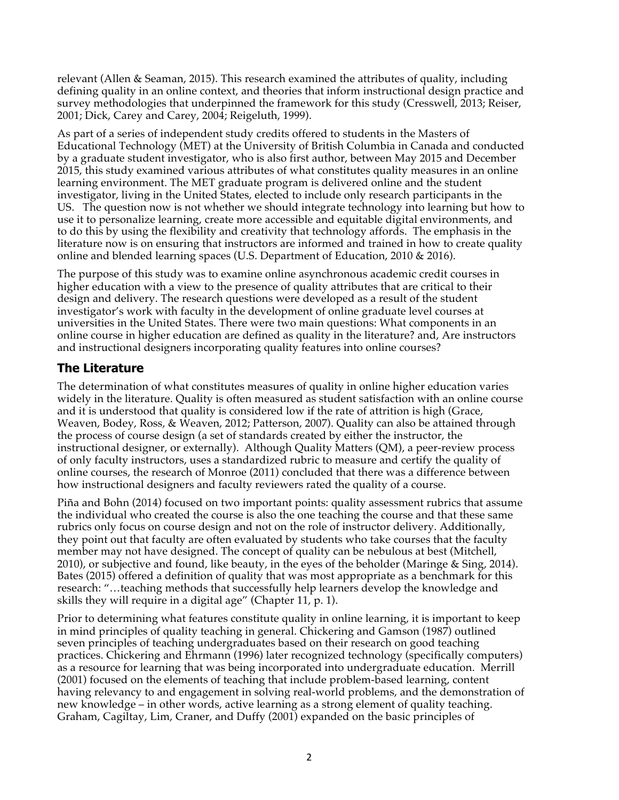relevant (Allen & Seaman, 2015). This research examined the attributes of quality, including defining quality in an online context, and theories that inform instructional design practice and survey methodologies that underpinned the framework for this study (Cresswell, 2013; Reiser, 2001; Dick, Carey and Carey, 2004; Reigeluth, 1999).

As part of a series of independent study credits offered to students in the Masters of Educational Technology (MET) at the University of British Columbia in Canada and conducted by a graduate student investigator, who is also first author, between May 2015 and December 2015, this study examined various attributes of what constitutes quality measures in an online learning environment. The MET graduate program is delivered online and the student investigator, living in the United States, elected to include only research participants in the US. The question now is not whether we should integrate technology into learning but how to use it to personalize learning, create more accessible and equitable digital environments, and to do this by using the flexibility and creativity that technology affords. The emphasis in the literature now is on ensuring that instructors are informed and trained in how to create quality online and blended learning spaces (U.S. Department of Education, 2010 & 2016).

The purpose of this study was to examine online asynchronous academic credit courses in higher education with a view to the presence of quality attributes that are critical to their design and delivery. The research questions were developed as a result of the student investigator's work with faculty in the development of online graduate level courses at universities in the United States. There were two main questions: What components in an online course in higher education are defined as quality in the literature? and, Are instructors and instructional designers incorporating quality features into online courses?

### **The Literature**

The determination of what constitutes measures of quality in online higher education varies widely in the literature. Quality is often measured as student satisfaction with an online course and it is understood that quality is considered low if the rate of attrition is high (Grace, Weaven, Bodey, Ross, & Weaven, 2012; Patterson, 2007). Quality can also be attained through the process of course design (a set of standards created by either the instructor, the instructional designer, or externally). Although Quality Matters (QM), a peer-review process of only faculty instructors, uses a standardized rubric to measure and certify the quality of online courses, the research of Monroe (2011) concluded that there was a difference between how instructional designers and faculty reviewers rated the quality of a course.

Piña and Bohn (2014) focused on two important points: quality assessment rubrics that assume the individual who created the course is also the one teaching the course and that these same rubrics only focus on course design and not on the role of instructor delivery. Additionally, they point out that faculty are often evaluated by students who take courses that the faculty member may not have designed. The concept of quality can be nebulous at best (Mitchell, 2010), or subjective and found, like beauty, in the eyes of the beholder (Maringe & Sing, 2014). Bates (2015) offered a definition of quality that was most appropriate as a benchmark for this research: "…teaching methods that successfully help learners develop the knowledge and skills they will require in a digital age" (Chapter 11, p. 1).

Prior to determining what features constitute quality in online learning, it is important to keep in mind principles of quality teaching in general. Chickering and Gamson (1987) outlined seven principles of teaching undergraduates based on their research on good teaching practices. Chickering and Ehrmann (1996) later recognized technology (specifically computers) as a resource for learning that was being incorporated into undergraduate education. Merrill (2001) focused on the elements of teaching that include problem-based learning, content having relevancy to and engagement in solving real-world problems, and the demonstration of new knowledge – in other words, active learning as a strong element of quality teaching. Graham, Cagiltay, Lim, Craner, and Duffy (2001) expanded on the basic principles of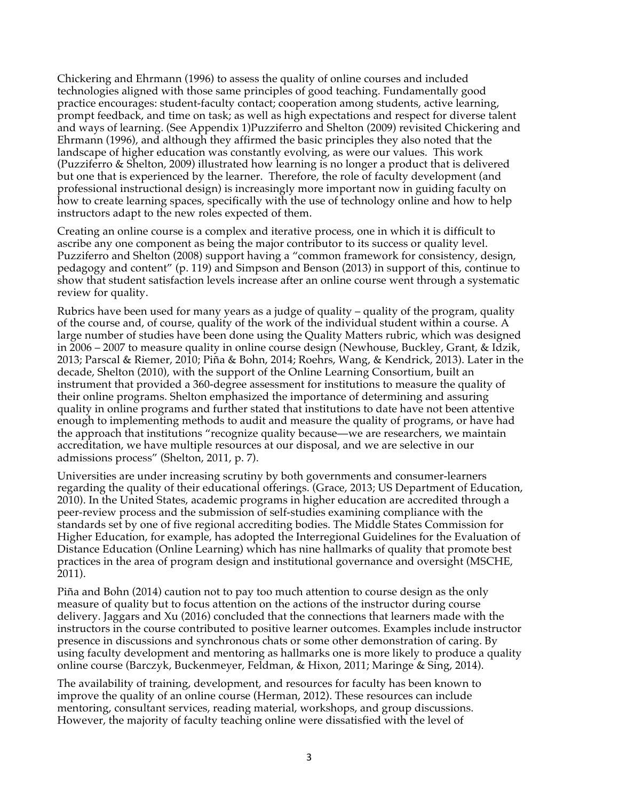Chickering and Ehrmann (1996) to assess the quality of online courses and included technologies aligned with those same principles of good teaching. Fundamentally good practice encourages: student-faculty contact; cooperation among students, active learning, prompt feedback, and time on task; as well as high expectations and respect for diverse talent and ways of learning. (See Appendix 1)Puzziferro and Shelton (2009) revisited Chickering and Ehrmann (1996), and although they affirmed the basic principles they also noted that the landscape of higher education was constantly evolving, as were our values. This work (Puzziferro & Shelton, 2009) illustrated how learning is no longer a product that is delivered but one that is experienced by the learner. Therefore, the role of faculty development (and professional instructional design) is increasingly more important now in guiding faculty on how to create learning spaces, specifically with the use of technology online and how to help instructors adapt to the new roles expected of them.

Creating an online course is a complex and iterative process, one in which it is difficult to ascribe any one component as being the major contributor to its success or quality level. Puzziferro and Shelton (2008) support having a "common framework for consistency, design, pedagogy and content" (p. 119) and Simpson and Benson (2013) in support of this, continue to show that student satisfaction levels increase after an online course went through a systematic review for quality.

Rubrics have been used for many years as a judge of quality – quality of the program, quality of the course and, of course, quality of the work of the individual student within a course. A large number of studies have been done using the Quality Matters rubric, which was designed in 2006 – 2007 to measure quality in online course design (Newhouse, Buckley, Grant, & Idzik, 2013; Parscal & Riemer, 2010; Piña & Bohn, 2014; Roehrs, Wang, & Kendrick, 2013). Later in the decade, Shelton (2010), with the support of the Online Learning Consortium, built an instrument that provided a 360-degree assessment for institutions to measure the quality of their online programs. Shelton emphasized the importance of determining and assuring quality in online programs and further stated that institutions to date have not been attentive enough to implementing methods to audit and measure the quality of programs, or have had the approach that institutions "recognize quality because—we are researchers, we maintain accreditation, we have multiple resources at our disposal, and we are selective in our admissions process" (Shelton, 2011, p. 7).

Universities are under increasing scrutiny by both governments and consumer-learners regarding the quality of their educational offerings. (Grace, 2013; US Department of Education, 2010). In the United States, academic programs in higher education are accredited through a peer-review process and the submission of self-studies examining compliance with the standards set by one of five regional accrediting bodies. The Middle States Commission for Higher Education, for example, has adopted the Interregional Guidelines for the Evaluation of Distance Education (Online Learning) which has nine hallmarks of quality that promote best practices in the area of program design and institutional governance and oversight (MSCHE, 2011).

Piña and Bohn (2014) caution not to pay too much attention to course design as the only measure of quality but to focus attention on the actions of the instructor during course delivery. Jaggars and Xu (2016) concluded that the connections that learners made with the instructors in the course contributed to positive learner outcomes. Examples include instructor presence in discussions and synchronous chats or some other demonstration of caring. By using faculty development and mentoring as hallmarks one is more likely to produce a quality online course (Barczyk, Buckenmeyer, Feldman, & Hixon, 2011; Maringe & Sing, 2014).

The availability of training, development, and resources for faculty has been known to improve the quality of an online course (Herman, 2012). These resources can include mentoring, consultant services, reading material, workshops, and group discussions. However, the majority of faculty teaching online were dissatisfied with the level of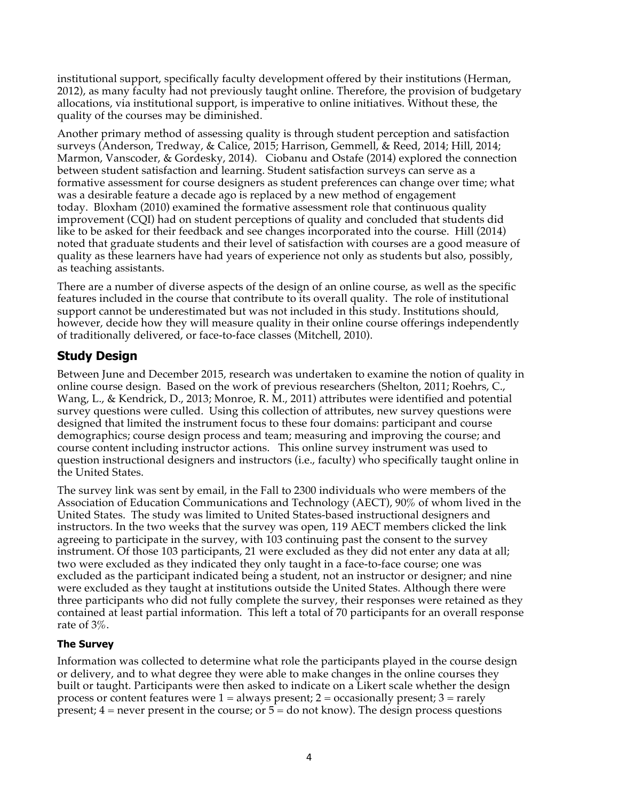institutional support, specifically faculty development offered by their institutions (Herman, 2012), as many faculty had not previously taught online. Therefore, the provision of budgetary allocations, via institutional support, is imperative to online initiatives. Without these, the quality of the courses may be diminished.

Another primary method of assessing quality is through student perception and satisfaction surveys (Anderson, Tredway, & Calice, 2015; Harrison, Gemmell, & Reed, 2014; Hill, 2014; Marmon, Vanscoder, & Gordesky, 2014). Ciobanu and Ostafe (2014) explored the connection between student satisfaction and learning. Student satisfaction surveys can serve as a formative assessment for course designers as student preferences can change over time; what was a desirable feature a decade ago is replaced by a new method of engagement today. Bloxham (2010) examined the formative assessment role that continuous quality improvement (CQI) had on student perceptions of quality and concluded that students did like to be asked for their feedback and see changes incorporated into the course. Hill (2014) noted that graduate students and their level of satisfaction with courses are a good measure of quality as these learners have had years of experience not only as students but also, possibly, as teaching assistants.

There are a number of diverse aspects of the design of an online course, as well as the specific features included in the course that contribute to its overall quality. The role of institutional support cannot be underestimated but was not included in this study. Institutions should, however, decide how they will measure quality in their online course offerings independently of traditionally delivered, or face-to-face classes (Mitchell, 2010).

# **Study Design**

Between June and December 2015, research was undertaken to examine the notion of quality in online course design. Based on the work of previous researchers (Shelton, 2011; Roehrs, C., Wang, L., & Kendrick, D., 2013; Monroe, R. M., 2011) attributes were identified and potential survey questions were culled. Using this collection of attributes, new survey questions were designed that limited the instrument focus to these four domains: participant and course demographics; course design process and team; measuring and improving the course; and course content including instructor actions. This online survey instrument was used to question instructional designers and instructors (i.e., faculty) who specifically taught online in the United States.

The survey link was sent by email, in the Fall to 2300 individuals who were members of the Association of Education Communications and Technology (AECT), 90% of whom lived in the United States. The study was limited to United States-based instructional designers and instructors. In the two weeks that the survey was open, 119 AECT members clicked the link agreeing to participate in the survey, with 103 continuing past the consent to the survey instrument. Of those 103 participants, 21 were excluded as they did not enter any data at all; two were excluded as they indicated they only taught in a face-to-face course; one was excluded as the participant indicated being a student, not an instructor or designer; and nine were excluded as they taught at institutions outside the United States. Although there were three participants who did not fully complete the survey, their responses were retained as they contained at least partial information. This left a total of 70 participants for an overall response rate of 3%.

### **The Survey**

Information was collected to determine what role the participants played in the course design or delivery, and to what degree they were able to make changes in the online courses they built or taught. Participants were then asked to indicate on a Likert scale whether the design process or content features were  $1 =$  always present;  $2 =$  occasionally present;  $3 =$  rarely present;  $4$  = never present in the course; or  $5$  = do not know). The design process questions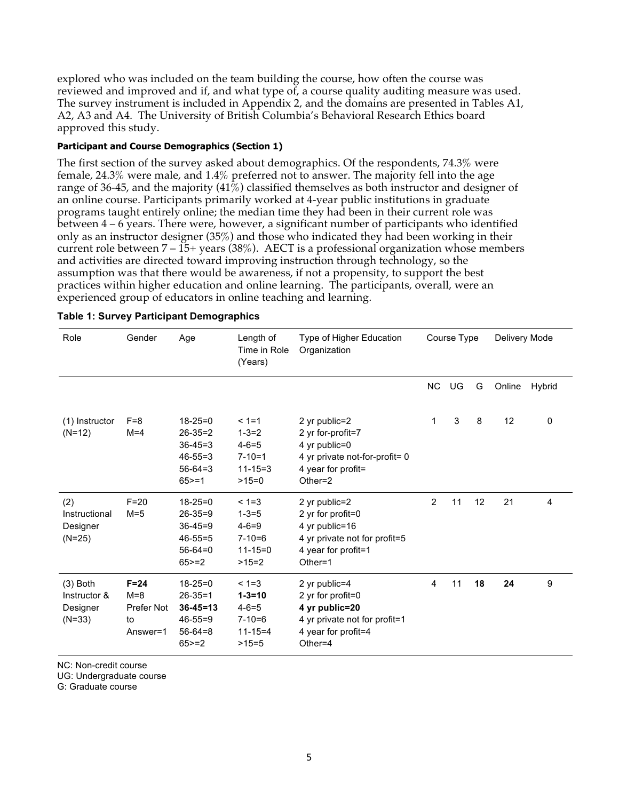explored who was included on the team building the course, how often the course was reviewed and improved and if, and what type of, a course quality auditing measure was used. The survey instrument is included in Appendix 2, and the domains are presented in Tables A1, A2, A3 and A4. The University of British Columbia's Behavioral Research Ethics board approved this study.

#### **Participant and Course Demographics (Section 1)**

The first section of the survey asked about demographics. Of the respondents, 74.3% were female, 24.3% were male, and 1.4% preferred not to answer. The majority fell into the age range of 36-45, and the majority (41%) classified themselves as both instructor and designer of an online course. Participants primarily worked at 4-year public institutions in graduate programs taught entirely online; the median time they had been in their current role was between 4 – 6 years. There were, however, a significant number of participants who identified only as an instructor designer (35%) and those who indicated they had been working in their current role between  $7 - 15$ + years (38%). AECT is a professional organization whose members and activities are directed toward improving instruction through technology, so the assumption was that there would be awareness, if not a propensity, to support the best practices within higher education and online learning. The participants, overall, were an experienced group of educators in online teaching and learning.

| Role                                               | Gender                                              | Age                                                                                            | Length of<br>Time in Role<br>(Years)                                                 | Type of Higher Education<br>Organization                                                                                   | Course Type |    | Delivery Mode |        |        |
|----------------------------------------------------|-----------------------------------------------------|------------------------------------------------------------------------------------------------|--------------------------------------------------------------------------------------|----------------------------------------------------------------------------------------------------------------------------|-------------|----|---------------|--------|--------|
|                                                    |                                                     |                                                                                                |                                                                                      |                                                                                                                            | <b>NC</b>   | UG | G             | Online | Hybrid |
| (1) Instructor<br>$(N=12)$                         | $F = 8$<br>$M = 4$                                  | $18 - 25 = 0$<br>$26 - 35 = 2$<br>$36 - 45 = 3$<br>$46 - 55 = 3$<br>$56 - 64 = 3$<br>$65 = 1$  | $< 1 = 1$<br>$1 - 3 = 2$<br>$4 - 6 = 5$<br>$7 - 10 = 1$<br>$11 - 15 = 3$<br>$>15=0$  | 2 yr public=2<br>2 yr for-profit=7<br>4 yr public=0<br>4 yr private not-for-profit= 0<br>4 year for profit=<br>Other= $2$  | 1           | 3  | 8             | 12     | 0      |
| (2)<br>Instructional<br>Designer<br>$(N=25)$       | $F=20$<br>$M=5$                                     | $18 - 25 = 0$<br>$26 - 35 = 9$<br>$36 - 45 = 9$<br>$46 - 55 = 5$<br>$56-64=0$<br>$65 = 2$      | $< 1 = 3$<br>$1 - 3 = 5$<br>$4 - 6 = 9$<br>$7 - 10 = 6$<br>$11 - 15 = 0$<br>$>15=2$  | 2 yr public=2<br>2 yr for profit=0<br>4 yr public=16<br>4 yr private not for profit=5<br>4 year for profit=1<br>Other=1    | 2           | 11 | 12            | 21     | 4      |
| $(3)$ Both<br>Instructor &<br>Designer<br>$(N=33)$ | $F = 24$<br>$M = 8$<br>Prefer Not<br>to<br>Answer=1 | $18 - 25 = 0$<br>$26 - 35 = 1$<br>$36 - 45 = 13$<br>$46 - 55 = 9$<br>$56 - 64 = 8$<br>$65 = 2$ | $< 1 = 3$<br>$1 - 3 = 10$<br>$4 - 6 = 5$<br>$7 - 10 = 6$<br>$11 - 15 = 4$<br>$>15=5$ | 2 yr public=4<br>2 yr for profit=0<br>4 yr public=20<br>4 yr private not for profit=1<br>4 year for profit=4<br>Other= $4$ | 4           | 11 | 18            | 24     | 9      |

|  |  | Table 1: Survey Participant Demographics |
|--|--|------------------------------------------|
|  |  |                                          |

NC: Non-credit course

UG: Undergraduate course

G: Graduate course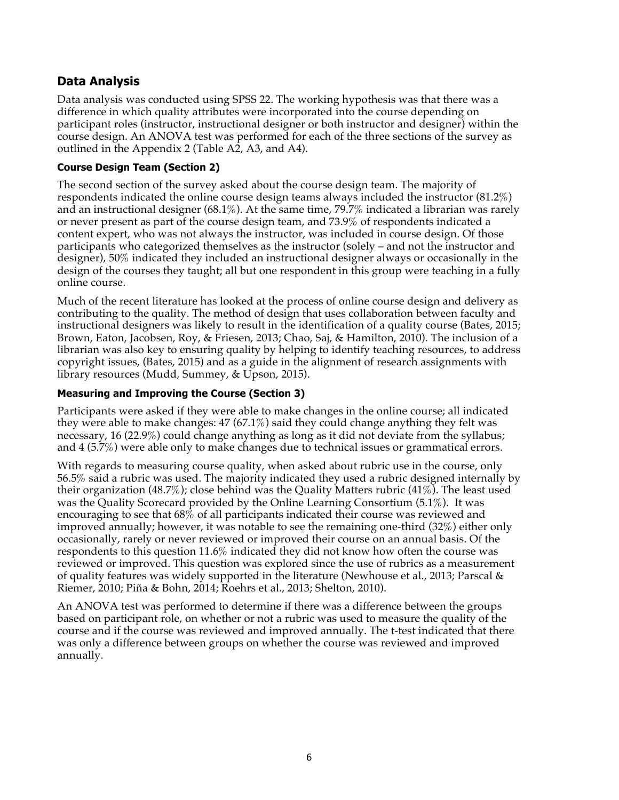# **Data Analysis**

Data analysis was conducted using SPSS 22. The working hypothesis was that there was a difference in which quality attributes were incorporated into the course depending on participant roles (instructor, instructional designer or both instructor and designer) within the course design. An ANOVA test was performed for each of the three sections of the survey as outlined in the Appendix 2 (Table A2, A3, and A4).

### **Course Design Team (Section 2)**

The second section of the survey asked about the course design team. The majority of respondents indicated the online course design teams always included the instructor (81.2%) and an instructional designer (68.1%). At the same time, 79.7% indicated a librarian was rarely or never present as part of the course design team, and 73.9% of respondents indicated a content expert, who was not always the instructor, was included in course design. Of those participants who categorized themselves as the instructor (solely – and not the instructor and designer), 50% indicated they included an instructional designer always or occasionally in the design of the courses they taught; all but one respondent in this group were teaching in a fully online course.

Much of the recent literature has looked at the process of online course design and delivery as contributing to the quality. The method of design that uses collaboration between faculty and instructional designers was likely to result in the identification of a quality course (Bates, 2015; Brown, Eaton, Jacobsen, Roy, & Friesen, 2013; Chao, Saj, & Hamilton, 2010). The inclusion of a librarian was also key to ensuring quality by helping to identify teaching resources, to address copyright issues, (Bates, 2015) and as a guide in the alignment of research assignments with library resources (Mudd, Summey, & Upson, 2015).

### **Measuring and Improving the Course (Section 3)**

Participants were asked if they were able to make changes in the online course; all indicated they were able to make changes: 47 (67.1%) said they could change anything they felt was necessary, 16 (22.9%) could change anything as long as it did not deviate from the syllabus; and 4 (5.7%) were able only to make changes due to technical issues or grammatical errors.

With regards to measuring course quality, when asked about rubric use in the course, only 56.5% said a rubric was used. The majority indicated they used a rubric designed internally by their organization (48.7%); close behind was the Quality Matters rubric (41%). The least used was the Quality Scorecard provided by the Online Learning Consortium (5.1%). It was encouraging to see that 68% of all participants indicated their course was reviewed and improved annually; however, it was notable to see the remaining one-third (32%) either only occasionally, rarely or never reviewed or improved their course on an annual basis. Of the respondents to this question 11.6% indicated they did not know how often the course was reviewed or improved. This question was explored since the use of rubrics as a measurement of quality features was widely supported in the literature (Newhouse et al., 2013; Parscal  $\&$ Riemer, 2010; Piña & Bohn, 2014; Roehrs et al., 2013; Shelton, 2010).

An ANOVA test was performed to determine if there was a difference between the groups based on participant role, on whether or not a rubric was used to measure the quality of the course and if the course was reviewed and improved annually. The t-test indicated that there was only a difference between groups on whether the course was reviewed and improved annually.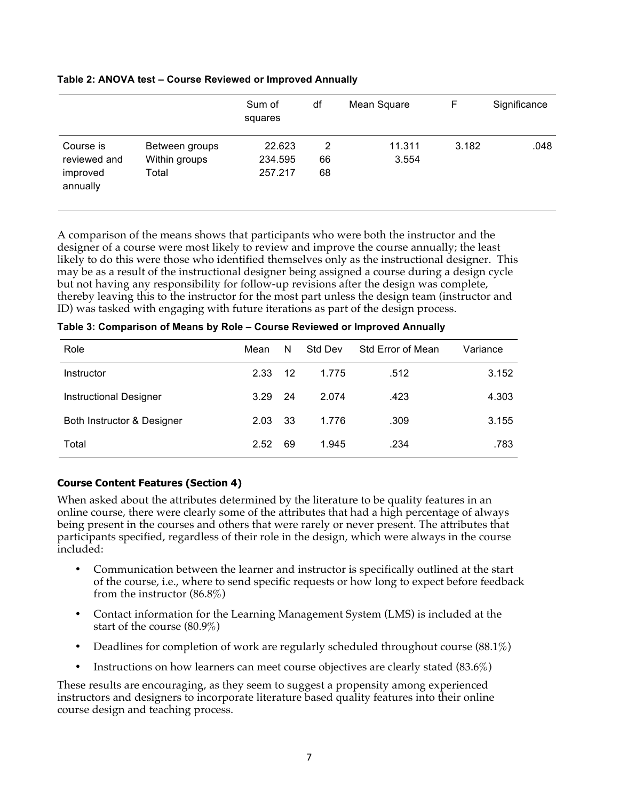#### **Table 2: ANOVA test – Course Reviewed or Improved Annually**

|                                                   |                                          | Sum of<br>squares            | df            | Mean Square     | F     | Significance |
|---------------------------------------------------|------------------------------------------|------------------------------|---------------|-----------------|-------|--------------|
| Course is<br>reviewed and<br>improved<br>annually | Between groups<br>Within groups<br>Total | 22.623<br>234.595<br>257.217 | 2<br>66<br>68 | 11.311<br>3.554 | 3.182 | .048         |

A comparison of the means shows that participants who were both the instructor and the designer of a course were most likely to review and improve the course annually; the least likely to do this were those who identified themselves only as the instructional designer. This may be as a result of the instructional designer being assigned a course during a design cycle but not having any responsibility for follow-up revisions after the design was complete, thereby leaving this to the instructor for the most part unless the design team (instructor and ID) was tasked with engaging with future iterations as part of the design process.

| Role                          | Mean | N   | <b>Std Dev</b> | <b>Std Error of Mean</b> | Variance |
|-------------------------------|------|-----|----------------|--------------------------|----------|
| Instructor                    | 2.33 | 12  | 1.775          | .512                     | 3.152    |
| <b>Instructional Designer</b> | 3.29 | -24 | 2.074          | .423                     | 4.303    |
| Both Instructor & Designer    | 2.03 | 33  | 1.776          | .309                     | 3.155    |
| Total                         | 2.52 | 69  | 1.945          | .234                     | .783     |

**Table 3: Comparison of Means by Role – Course Reviewed or Improved Annually**

### **Course Content Features (Section 4)**

When asked about the attributes determined by the literature to be quality features in an online course, there were clearly some of the attributes that had a high percentage of always being present in the courses and others that were rarely or never present. The attributes that participants specified, regardless of their role in the design, which were always in the course included:

- Communication between the learner and instructor is specifically outlined at the start of the course, i.e., where to send specific requests or how long to expect before feedback from the instructor (86.8%)
- Contact information for the Learning Management System (LMS) is included at the start of the course (80.9%)
- Deadlines for completion of work are regularly scheduled throughout course (88.1%)
- Instructions on how learners can meet course objectives are clearly stated (83.6%)

These results are encouraging, as they seem to suggest a propensity among experienced instructors and designers to incorporate literature based quality features into their online course design and teaching process.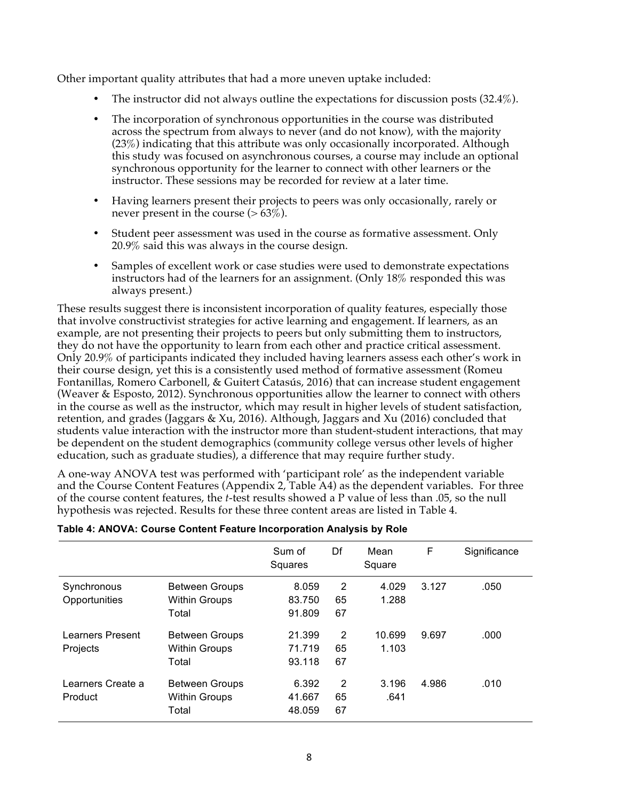Other important quality attributes that had a more uneven uptake included:

- The instructor did not always outline the expectations for discussion posts (32.4%).
- The incorporation of synchronous opportunities in the course was distributed across the spectrum from always to never (and do not know), with the majority (23%) indicating that this attribute was only occasionally incorporated. Although this study was focused on asynchronous courses, a course may include an optional synchronous opportunity for the learner to connect with other learners or the instructor. These sessions may be recorded for review at a later time.
- Having learners present their projects to peers was only occasionally, rarely or never present in the course  $(>63\%)$ .
- Student peer assessment was used in the course as formative assessment. Only 20.9% said this was always in the course design.
- Samples of excellent work or case studies were used to demonstrate expectations instructors had of the learners for an assignment. (Only 18% responded this was always present.)

These results suggest there is inconsistent incorporation of quality features, especially those that involve constructivist strategies for active learning and engagement. If learners, as an example, are not presenting their projects to peers but only submitting them to instructors, they do not have the opportunity to learn from each other and practice critical assessment. Only 20.9% of participants indicated they included having learners assess each other's work in their course design, yet this is a consistently used method of formative assessment (Romeu Fontanillas, Romero Carbonell, & Guitert Catasús, 2016) that can increase student engagement (Weaver & Esposto, 2012). Synchronous opportunities allow the learner to connect with others in the course as well as the instructor, which may result in higher levels of student satisfaction, retention, and grades (Jaggars & Xu, 2016). Although, Jaggars and Xu (2016) concluded that students value interaction with the instructor more than student-student interactions, that may be dependent on the student demographics (community college versus other levels of higher education, such as graduate studies), a difference that may require further study.

A one-way ANOVA test was performed with 'participant role' as the independent variable and the Course Content Features (Appendix 2, Table A4) as the dependent variables. For three of the course content features, the *t*-test results showed a P value of less than .05, so the null hypothesis was rejected. Results for these three content areas are listed in Table 4.

|                   |                       | Sum of<br>Squares | Df | Mean<br>Square | F     | Significance |
|-------------------|-----------------------|-------------------|----|----------------|-------|--------------|
| Synchronous       | <b>Between Groups</b> | 8.059             | 2  | 4.029          | 3.127 | .050         |
| Opportunities     | <b>Within Groups</b>  | 83.750            | 65 | 1.288          |       |              |
|                   | Total                 | 91.809            | 67 |                |       |              |
| Learners Present  | <b>Between Groups</b> | 21.399            | 2  | 10.699         | 9.697 | .000         |
| Projects          | <b>Within Groups</b>  | 71.719            | 65 | 1.103          |       |              |
|                   | Total                 | 93.118            | 67 |                |       |              |
| Learners Create a | <b>Between Groups</b> | 6.392             | 2  | 3.196          | 4.986 | .010         |
| Product           | <b>Within Groups</b>  | 41.667            | 65 | .641           |       |              |
|                   | Total                 | 48.059            | 67 |                |       |              |

#### **Table 4: ANOVA: Course Content Feature Incorporation Analysis by Role**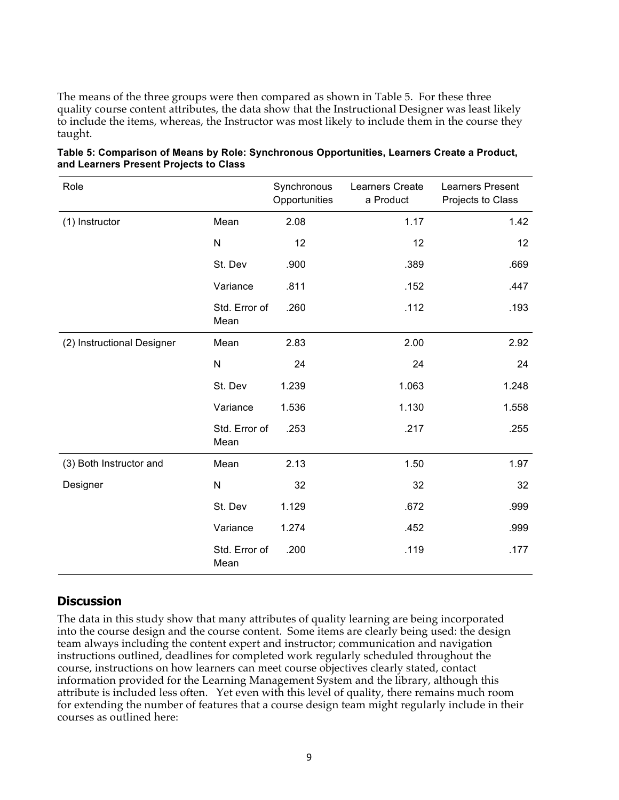The means of the three groups were then compared as shown in Table 5. For these three quality course content attributes, the data show that the Instructional Designer was least likely to include the items, whereas, the Instructor was most likely to include them in the course they taught.

| Role                       |                       | Synchronous<br>Opportunities | Learners Create<br>a Product | <b>Learners Present</b><br>Projects to Class |  |
|----------------------------|-----------------------|------------------------------|------------------------------|----------------------------------------------|--|
| (1) Instructor<br>Mean     |                       | 2.08                         | 1.17                         | 1.42                                         |  |
|                            | $\mathsf{N}$          | 12                           | 12                           | 12                                           |  |
|                            | St. Dev               | .900                         | .389                         | .669                                         |  |
|                            | Variance              | .811                         | .152                         | .447                                         |  |
|                            | Std. Error of<br>Mean | .260                         | .112                         | .193                                         |  |
| (2) Instructional Designer | Mean                  | 2.83                         | 2.00                         | 2.92                                         |  |
|                            | ${\sf N}$             | 24                           | 24                           | 24                                           |  |
|                            | St. Dev               | 1.239                        | 1.063                        | 1.248                                        |  |
|                            | Variance              | 1.536                        | 1.130                        | 1.558                                        |  |
|                            | Std. Error of<br>Mean | .253                         | .217                         | .255                                         |  |
| (3) Both Instructor and    | Mean                  | 2.13                         | 1.50                         | 1.97                                         |  |
| Designer                   | ${\sf N}$             | 32                           | 32                           | 32                                           |  |
|                            | St. Dev               | 1.129                        | .672                         | .999                                         |  |
|                            | Variance              | 1.274                        | .452                         | .999                                         |  |
|                            | Std. Error of<br>Mean | .200                         | .119                         | .177                                         |  |

| Table 5: Comparison of Means by Role: Synchronous Opportunities, Learners Create a Product, |  |  |
|---------------------------------------------------------------------------------------------|--|--|
| and Learners Present Projects to Class                                                      |  |  |

### **Discussion**

The data in this study show that many attributes of quality learning are being incorporated into the course design and the course content. Some items are clearly being used: the design team always including the content expert and instructor; communication and navigation instructions outlined, deadlines for completed work regularly scheduled throughout the course, instructions on how learners can meet course objectives clearly stated, contact information provided for the Learning Management System and the library, although this attribute is included less often. Yet even with this level of quality, there remains much room for extending the number of features that a course design team might regularly include in their courses as outlined here: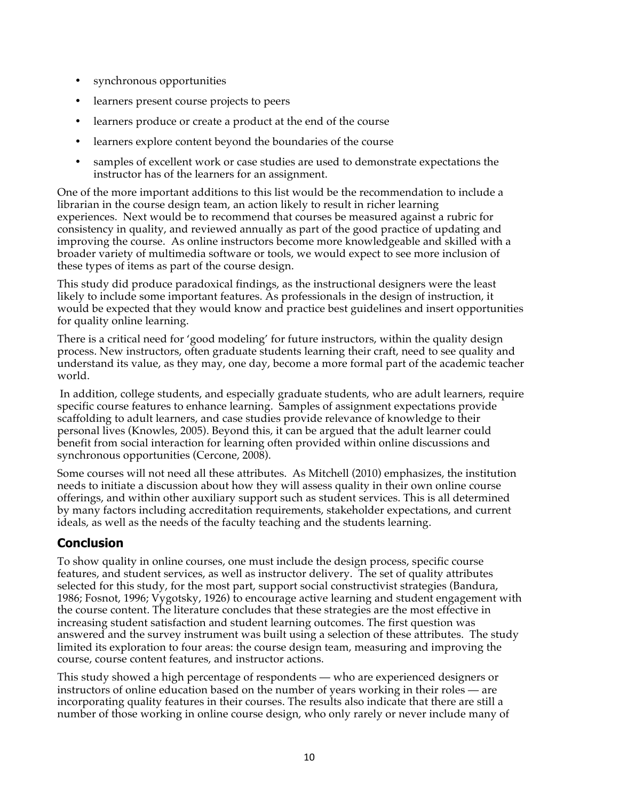- synchronous opportunities
- learners present course projects to peers
- learners produce or create a product at the end of the course
- learners explore content beyond the boundaries of the course
- samples of excellent work or case studies are used to demonstrate expectations the instructor has of the learners for an assignment.

One of the more important additions to this list would be the recommendation to include a librarian in the course design team, an action likely to result in richer learning experiences. Next would be to recommend that courses be measured against a rubric for consistency in quality, and reviewed annually as part of the good practice of updating and improving the course. As online instructors become more knowledgeable and skilled with a broader variety of multimedia software or tools, we would expect to see more inclusion of these types of items as part of the course design.

This study did produce paradoxical findings, as the instructional designers were the least likely to include some important features. As professionals in the design of instruction, it would be expected that they would know and practice best guidelines and insert opportunities for quality online learning.

There is a critical need for 'good modeling' for future instructors, within the quality design process. New instructors, often graduate students learning their craft, need to see quality and understand its value, as they may, one day, become a more formal part of the academic teacher world.

In addition, college students, and especially graduate students, who are adult learners, require specific course features to enhance learning. Samples of assignment expectations provide scaffolding to adult learners, and case studies provide relevance of knowledge to their personal lives (Knowles, 2005). Beyond this, it can be argued that the adult learner could benefit from social interaction for learning often provided within online discussions and synchronous opportunities (Cercone, 2008).

Some courses will not need all these attributes. As Mitchell (2010) emphasizes, the institution needs to initiate a discussion about how they will assess quality in their own online course offerings, and within other auxiliary support such as student services. This is all determined by many factors including accreditation requirements, stakeholder expectations, and current ideals, as well as the needs of the faculty teaching and the students learning.

# **Conclusion**

To show quality in online courses, one must include the design process, specific course features, and student services, as well as instructor delivery. The set of quality attributes selected for this study, for the most part, support social constructivist strategies (Bandura, 1986; Fosnot, 1996; Vygotsky, 1926) to encourage active learning and student engagement with the course content. The literature concludes that these strategies are the most effective in increasing student satisfaction and student learning outcomes. The first question was answered and the survey instrument was built using a selection of these attributes. The study limited its exploration to four areas: the course design team, measuring and improving the course, course content features, and instructor actions.

This study showed a high percentage of respondents — who are experienced designers or instructors of online education based on the number of years working in their roles — are incorporating quality features in their courses. The results also indicate that there are still a number of those working in online course design, who only rarely or never include many of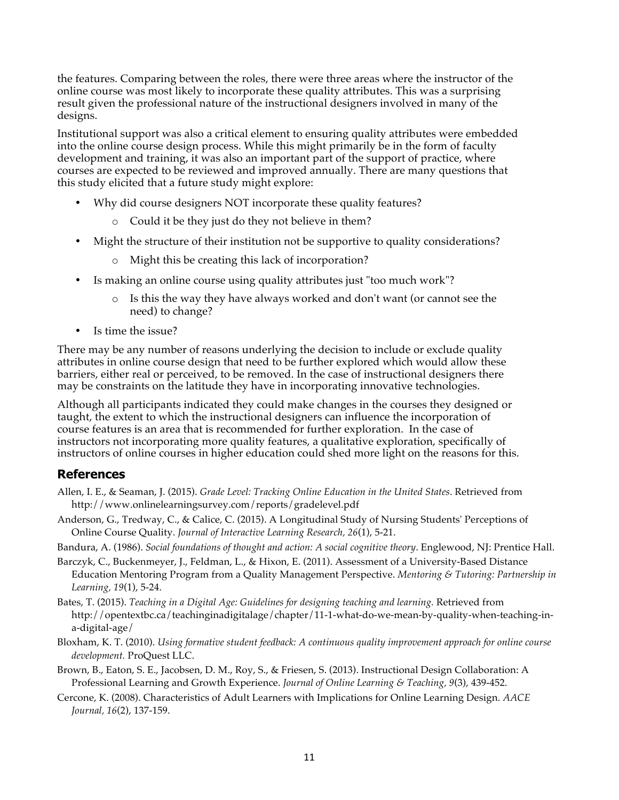the features. Comparing between the roles, there were three areas where the instructor of the online course was most likely to incorporate these quality attributes. This was a surprising result given the professional nature of the instructional designers involved in many of the designs.

Institutional support was also a critical element to ensuring quality attributes were embedded into the online course design process. While this might primarily be in the form of faculty development and training, it was also an important part of the support of practice, where courses are expected to be reviewed and improved annually. There are many questions that this study elicited that a future study might explore:

- Why did course designers NOT incorporate these quality features?
	- o Could it be they just do they not believe in them?
- Might the structure of their institution not be supportive to quality considerations?
	- o Might this be creating this lack of incorporation?
- Is making an online course using quality attributes just "too much work"?
	- o Is this the way they have always worked and don't want (or cannot see the need) to change?
- Is time the issue?

There may be any number of reasons underlying the decision to include or exclude quality attributes in online course design that need to be further explored which would allow these barriers, either real or perceived, to be removed. In the case of instructional designers there may be constraints on the latitude they have in incorporating innovative technologies.

Although all participants indicated they could make changes in the courses they designed or taught, the extent to which the instructional designers can influence the incorporation of course features is an area that is recommended for further exploration. In the case of instructors not incorporating more quality features, a qualitative exploration, specifically of instructors of online courses in higher education could shed more light on the reasons for this.

### **References**

- Allen, I. E., & Seaman, J. (2015). *Grade Level: Tracking Online Education in the United States*. Retrieved from http://www.onlinelearningsurvey.com/reports/gradelevel.pdf
- Anderson, G., Tredway, C., & Calice, C. (2015). A Longitudinal Study of Nursing Students' Perceptions of Online Course Quality. *Journal of Interactive Learning Research, 26*(1), 5-21.

Bandura, A. (1986). *Social foundations of thought and action: A social cognitive theory*. Englewood, NJ: Prentice Hall.

- Barczyk, C., Buckenmeyer, J., Feldman, L., & Hixon, E. (2011). Assessment of a University-Based Distance Education Mentoring Program from a Quality Management Perspective. *Mentoring & Tutoring: Partnership in Learning, 19*(1), 5-24.
- Bates, T. (2015). *Teaching in a Digital Age: Guidelines for designing teaching and learning.* Retrieved from http://opentextbc.ca/teachinginadigitalage/chapter/11-1-what-do-we-mean-by-quality-when-teaching-ina-digital-age/
- Bloxham, K. T. (2010). *Using formative student feedback: A continuous quality improvement approach for online course development.* ProQuest LLC.
- Brown, B., Eaton, S. E., Jacobsen, D. M., Roy, S., & Friesen, S. (2013). Instructional Design Collaboration: A Professional Learning and Growth Experience. *Journal of Online Learning & Teaching, 9*(3), 439-452.
- Cercone, K. (2008). Characteristics of Adult Learners with Implications for Online Learning Design. *AACE Journal, 16*(2), 137-159.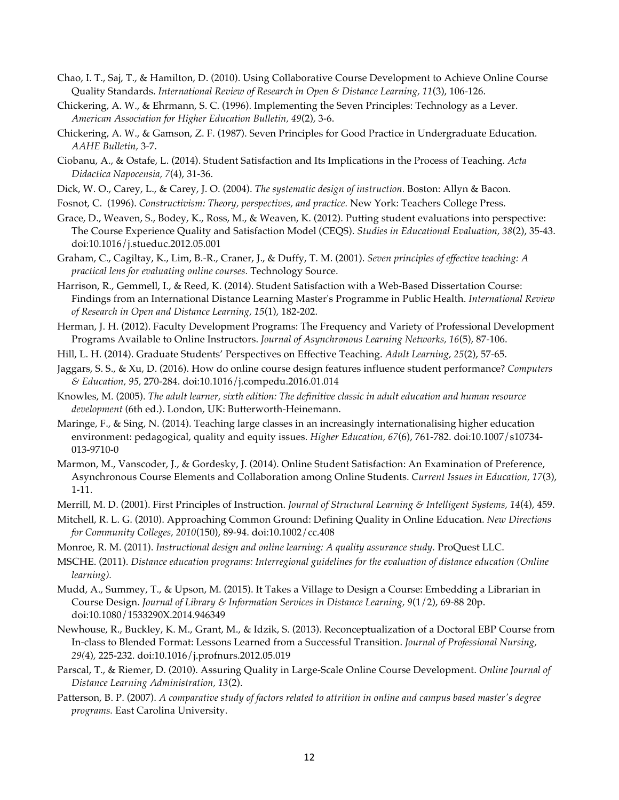- Chao, I. T., Saj, T., & Hamilton, D. (2010). Using Collaborative Course Development to Achieve Online Course Quality Standards. *International Review of Research in Open & Distance Learning, 11*(3), 106-126.
- Chickering, A. W., & Ehrmann, S. C. (1996). Implementing the Seven Principles: Technology as a Lever. *American Association for Higher Education Bulletin, 49*(2), 3-6.
- Chickering, A. W., & Gamson, Z. F. (1987). Seven Principles for Good Practice in Undergraduate Education. *AAHE Bulletin,* 3-7.
- Ciobanu, A., & Ostafe, L. (2014). Student Satisfaction and Its Implications in the Process of Teaching. *Acta Didactica Napocensia, 7*(4), 31-36.
- Dick, W. O., Carey, L., & Carey, J. O. (2004). *The systematic design of instruction.* Boston: Allyn & Bacon.
- Fosnot, C. (1996). *Constructivism: Theory, perspectives, and practice.* New York: Teachers College Press.
- Grace, D., Weaven, S., Bodey, K., Ross, M., & Weaven, K. (2012). Putting student evaluations into perspective: The Course Experience Quality and Satisfaction Model (CEQS). *Studies in Educational Evaluation, 38*(2), 35-43. doi:10.1016/j.stueduc.2012.05.001
- Graham, C., Cagiltay, K., Lim, B.-R., Craner, J., & Duffy, T. M. (2001). *Seven principles of effective teaching: A practical lens for evaluating online courses.* Technology Source.
- Harrison, R., Gemmell, I., & Reed, K. (2014). Student Satisfaction with a Web-Based Dissertation Course: Findings from an International Distance Learning Master's Programme in Public Health. *International Review of Research in Open and Distance Learning, 15*(1), 182-202.
- Herman, J. H. (2012). Faculty Development Programs: The Frequency and Variety of Professional Development Programs Available to Online Instructors. *Journal of Asynchronous Learning Networks, 16*(5), 87-106.
- Hill, L. H. (2014). Graduate Students' Perspectives on Effective Teaching. *Adult Learning, 25*(2), 57-65.

Jaggars, S. S., & Xu, D. (2016). How do online course design features influence student performance? *Computers & Education, 95,* 270-284. doi:10.1016/j.compedu.2016.01.014

- Knowles, M. (2005). *The adult learner, sixth edition: The definitive classic in adult education and human resource development* (6th ed.). London, UK: Butterworth-Heinemann.
- Maringe, F., & Sing, N. (2014). Teaching large classes in an increasingly internationalising higher education environment: pedagogical, quality and equity issues. *Higher Education, 67*(6), 761-782. doi:10.1007/s10734- 013-9710-0
- Marmon, M., Vanscoder, J., & Gordesky, J. (2014). Online Student Satisfaction: An Examination of Preference, Asynchronous Course Elements and Collaboration among Online Students. *Current Issues in Education, 17*(3), 1-11.
- Merrill, M. D. (2001). First Principles of Instruction. *Journal of Structural Learning & Intelligent Systems, 14*(4), 459.
- Mitchell, R. L. G. (2010). Approaching Common Ground: Defining Quality in Online Education. *New Directions for Community Colleges, 2010*(150), 89-94. doi:10.1002/cc.408
- Monroe, R. M. (2011). *Instructional design and online learning: A quality assurance study.* ProQuest LLC.
- MSCHE. (2011). *Distance education programs: Interregional guidelines for the evaluation of distance education (Online learning).*
- Mudd, A., Summey, T., & Upson, M. (2015). It Takes a Village to Design a Course: Embedding a Librarian in Course Design. *Journal of Library & Information Services in Distance Learning, 9*(1/2), 69-88 20p. doi:10.1080/1533290X.2014.946349
- Newhouse, R., Buckley, K. M., Grant, M., & Idzik, S. (2013). Reconceptualization of a Doctoral EBP Course from In-class to Blended Format: Lessons Learned from a Successful Transition. *Journal of Professional Nursing, 29(*4), 225-232. doi:10.1016/j.profnurs.2012.05.019
- Parscal, T., & Riemer, D. (2010). Assuring Quality in Large-Scale Online Course Development. *Online Journal of Distance Learning Administration, 13*(2).
- Patterson, B. P. (2007). *A comparative study of factors related to attrition in online and campus based master's degree programs.* East Carolina University.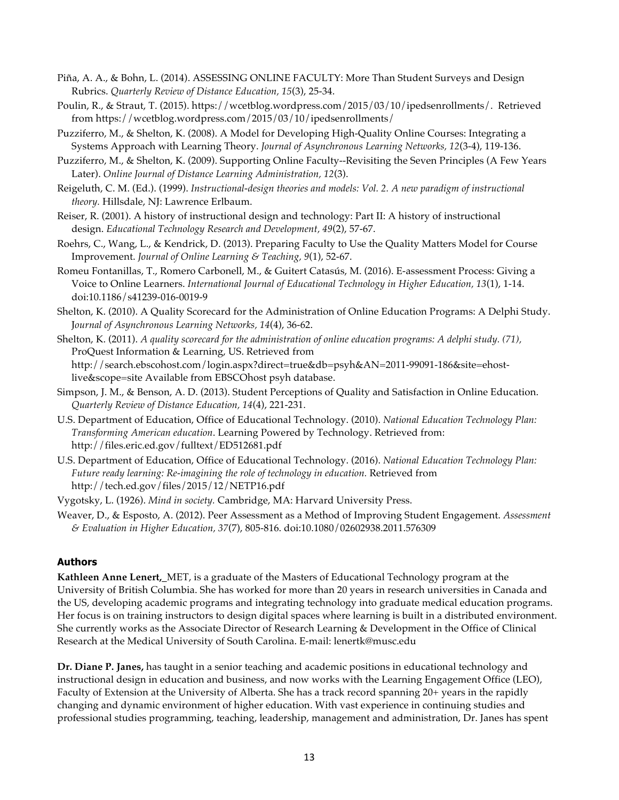- Piña, A. A., & Bohn, L. (2014). ASSESSING ONLINE FACULTY: More Than Student Surveys and Design Rubrics. *Quarterly Review of Distance Education, 15*(3), 25-34.
- Poulin, R., & Straut, T. (2015). https://wcetblog.wordpress.com/2015/03/10/ipedsenrollments/. Retrieved from https://wcetblog.wordpress.com/2015/03/10/ipedsenrollments/
- Puzziferro, M., & Shelton, K. (2008). A Model for Developing High-Quality Online Courses: Integrating a Systems Approach with Learning Theory. *Journal of Asynchronous Learning Networks, 12*(3-4), 119-136.
- Puzziferro, M., & Shelton, K. (2009). Supporting Online Faculty--Revisiting the Seven Principles (A Few Years Later). *Online Journal of Distance Learning Administration, 12*(3).
- Reigeluth, C. M. (Ed.). (1999). *Instructional-design theories and models: Vol. 2. A new paradigm of instructional theory.* Hillsdale, NJ: Lawrence Erlbaum.
- Reiser, R. (2001). A history of instructional design and technology: Part II: A history of instructional design. *Educational Technology Research and Development, 49*(2), 57-67.
- Roehrs, C., Wang, L., & Kendrick, D. (2013). Preparing Faculty to Use the Quality Matters Model for Course Improvement. *Journal of Online Learning & Teaching, 9*(1), 52-67.
- Romeu Fontanillas, T., Romero Carbonell, M., & Guitert Catasús, M. (2016). E-assessment Process: Giving a Voice to Online Learners. *International Journal of Educational Technology in Higher Education, 13*(1), 1-14. doi:10.1186/s41239-016-0019-9
- Shelton, K. (2010). A Quality Scorecard for the Administration of Online Education Programs: A Delphi Study. J*ournal of Asynchronous Learning Networks, 14*(4), 36-62.

Shelton, K. (2011). *A quality scorecard for the administration of online education programs: A delphi study. (71),* ProQuest Information & Learning, US. Retrieved from http://search.ebscohost.com/login.aspx?direct=true&db=psyh&AN=2011-99091-186&site=ehostlive&scope=site Available from EBSCOhost psyh database.

- Simpson, J. M., & Benson, A. D. (2013). Student Perceptions of Quality and Satisfaction in Online Education. *Quarterly Review of Distance Education, 14*(4), 221-231.
- U.S. Department of Education, Office of Educational Technology. (2010). *National Education Technology Plan: Transforming American education*. Learning Powered by Technology. Retrieved from: http://files.eric.ed.gov/fulltext/ED512681.pdf
- U.S. Department of Education, Office of Educational Technology. (2016). *National Education Technology Plan: Future ready learning: Re-imagining the role of technology in education.* Retrieved from http://tech.ed.gov/files/2015/12/NETP16.pdf

Vygotsky, L. (1926). *Mind in society.* Cambridge, MA: Harvard University Press.

Weaver, D., & Esposto, A. (2012). Peer Assessment as a Method of Improving Student Engagement. *Assessment & Evaluation in Higher Education, 37*(7), 805-816. doi:10.1080/02602938.2011.576309

#### **Authors**

**Kathleen Anne Lenert,\_**MET, is a graduate of the Masters of Educational Technology program at the University of British Columbia. She has worked for more than 20 years in research universities in Canada and the US, developing academic programs and integrating technology into graduate medical education programs. Her focus is on training instructors to design digital spaces where learning is built in a distributed environment. She currently works as the Associate Director of Research Learning & Development in the Office of Clinical Research at the Medical University of South Carolina. E-mail: lenertk@musc.edu

**Dr. Diane P. Janes,** has taught in a senior teaching and academic positions in educational technology and instructional design in education and business, and now works with the Learning Engagement Office (LEO), Faculty of Extension at the University of Alberta. She has a track record spanning 20+ years in the rapidly changing and dynamic environment of higher education. With vast experience in continuing studies and professional studies programming, teaching, leadership, management and administration, Dr. Janes has spent